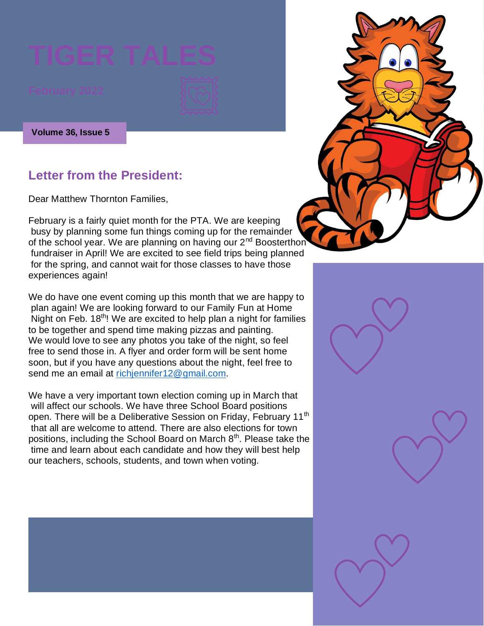**Volume 36, Issue 5**

### **Letter from the President:**

Dear Matthew Thornton Families,

February is a fairly quiet month for the PTA. We are keeping busy by planning some fun things coming up for the remainder of the school year. We are planning on having our 2<sup>nd</sup> Boosterthon fundraiser in April! We are excited to see field trips being planned for the spring, and cannot wait for those classes to have those experiences again!

We do have one event coming up this month that we are happy to plan again! We are looking forward to our Family Fun at Home Night on Feb. 18<sup>th</sup>! We are excited to help plan a night for families to be together and spend time making pizzas and painting. We would love to see any photos you take of the night, so feel free to send those in. A flyer and order form will be sent home soon, but if you have any questions about the night, feel free to send me an email at [richjennifer12@gmail.com.](mailto:richjennifer12@gmail.com)

We have a very important town election coming up in March that will affect our schools. We have three School Board positions open. There will be a Deliberative Session on Friday, February 11<sup>th</sup> that all are welcome to attend. There are also elections for town positions, including the School Board on March 8<sup>th</sup>. Please take the time and learn about each candidate and how they will best help our teachers, schools, students, and town when voting.

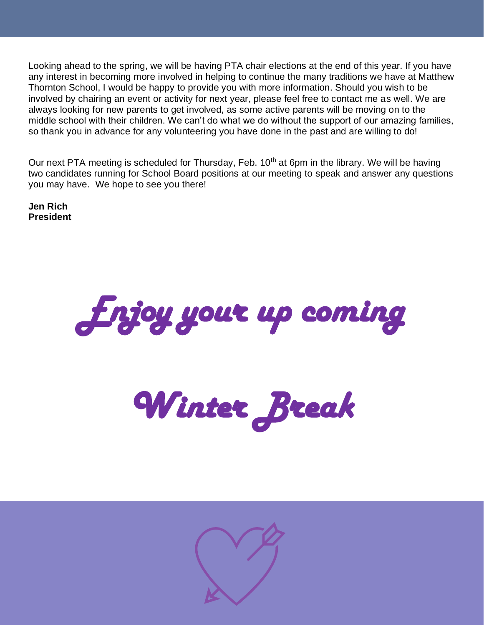Looking ahead to the spring, we will be having PTA chair elections at the end of this year. If you have any interest in becoming more involved in helping to continue the many traditions we have at Matthew Thornton School, I would be happy to provide you with more information. Should you wish to be involved by chairing an event or activity for next year, please feel free to contact me as well. We are always looking for new parents to get involved, as some active parents will be moving on to the middle school with their children. We can't do what we do without the support of our amazing families, so thank you in advance for any volunteering you have done in the past and are willing to do!

Our next PTA meeting is scheduled for Thursday, Feb. 10<sup>th</sup> at 6pm in the library. We will be having two candidates running for School Board positions at our meeting to speak and answer any questions you may have. We hope to see you there!

**Jen Rich President**



*Winter Break* 

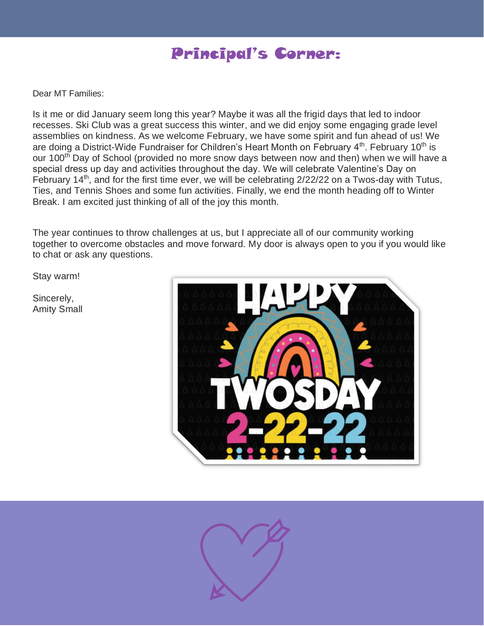## Principal's Corner:

Dear MT Families:

Is it me or did January seem long this year? Maybe it was all the frigid days that led to indoor recesses. Ski Club was a great success this winter, and we did enjoy some engaging grade level assemblies on kindness. As we welcome February, we have some spirit and fun ahead of us! We are doing a District-Wide Fundraiser for Children's Heart Month on February  $4<sup>th</sup>$ . February 10<sup>th</sup> is our 100<sup>th</sup> Day of School (provided no more snow days between now and then) when we will have a special dress up day and activities throughout the day. We will celebrate Valentine's Day on February 14<sup>th</sup>, and for the first time ever, we will be celebrating  $2/22/22$  on a Twos-day with Tutus, Ties, and Tennis Shoes and some fun activities. Finally, we end the month heading off to Winter Break. I am excited just thinking of all of the joy this month.

The year continues to throw challenges at us, but I appreciate all of our community working together to overcome obstacles and move forward. My door is always open to you if you would like to chat or ask any questions.

Stay warm!

Sincerely, Amity Small



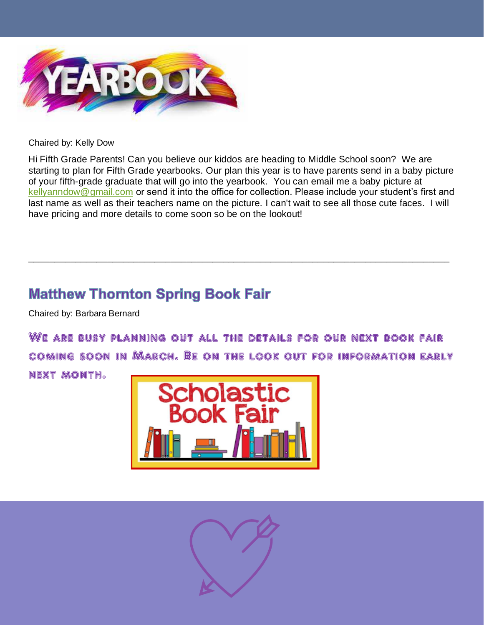

Chaired by: Kelly Dow

Hi Fifth Grade Parents! Can you believe our kiddos are heading to Middle School soon? We are starting to plan for Fifth Grade yearbooks. Our plan this year is to have parents send in a baby picture of your fifth-grade graduate that will go into the yearbook. You can email me a baby picture at [kellyanndow@gmail.com](mailto:kellyanndow@gmail.com) or send it into the office for collection. Please include your student's first and last name as well as their teachers name on the picture. I can't wait to see all those cute faces. I will have pricing and more details to come soon so be on the lookout!

\_\_\_\_\_\_\_\_\_\_\_\_\_\_\_\_\_\_\_\_\_\_\_\_\_\_\_\_\_\_\_\_\_\_\_\_\_\_\_\_\_\_\_\_\_\_\_\_\_\_\_\_\_\_\_\_\_\_\_\_\_\_\_\_\_\_\_\_\_\_\_\_\_\_\_\_\_\_\_\_

### **Matthew Thornton Spring Book Fair**

Chaired by: Barbara Bernard

We are busy planning out all the details for our next book fair coming soon in March. Be on the look out for information early

next month.



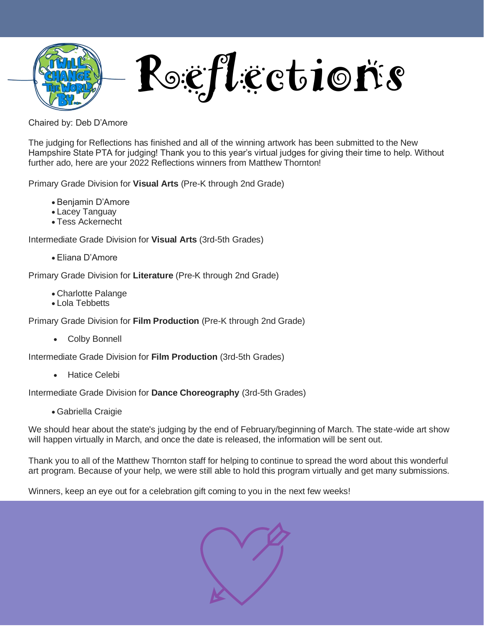

Rogiflections

Chaired by: Deb D'Amore

The judging for Reflections has finished and all of the winning artwork has been submitted to the New Hampshire State PTA for judging! Thank you to this year's virtual judges for giving their time to help. Without further ado, here are your 2022 Reflections winners from Matthew Thornton!

Primary Grade Division for **Visual Arts** (Pre-K through 2nd Grade)

- Benjamin D'Amore
- Lacey Tanguay
- Tess Ackernecht

Intermediate Grade Division for **Visual Arts** (3rd-5th Grades)

• Eliana D'Amore

Primary Grade Division for **Literature** (Pre-K through 2nd Grade)

- Charlotte Palange
- Lola Tebbetts

Primary Grade Division for **Film Production** (Pre-K through 2nd Grade)

• Colby Bonnell

Intermediate Grade Division for **Film Production** (3rd-5th Grades)

• Hatice Celebi

Intermediate Grade Division for **Dance Choreography** (3rd-5th Grades)

• Gabriella Craigie

We should hear about the state's judging by the end of February/beginning of March. The state-wide art show will happen virtually in March, and once the date is released, the information will be sent out.

Thank you to all of the Matthew Thornton staff for helping to continue to spread the word about this wonderful art program. Because of your help, we were still able to hold this program virtually and get many submissions.

Winners, keep an eye out for a celebration gift coming to you in the next few weeks!

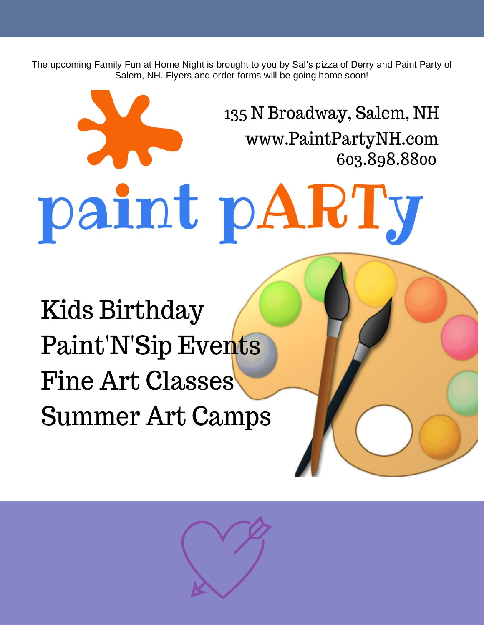The upcoming Family Fun at Home Night is brought to you by Sal's pizza of Derry and Paint Party of Salem, NH. Flyers and order forms will be going home soon!

135 N Broadway, Salem, NH www.PaintPartyNH.com 603.898.8800 paint pARTy Kids Birthday **Paint'N'Sip Events Fine Art Classes Summer Art Camps**